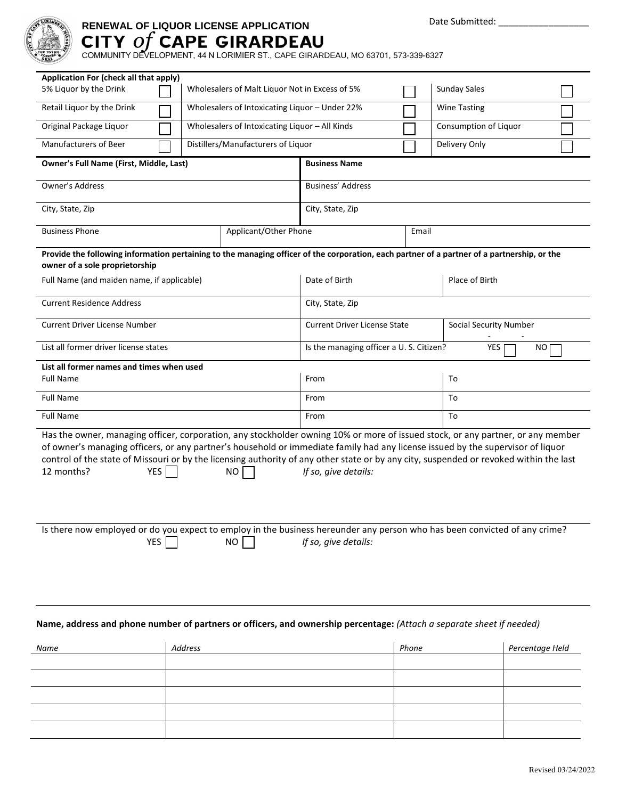

## **RENEWAL OF LIQUOR LICENSE APPLICATION**

COMMUNITY DEVELOPMENT, 44 N LORIMIER ST., CAPE GIRARDEAU, MO 63701, 573-339-6327

| Application For (check all that apply)                                                                                                                                                                                                                                                                                                                                                                                                                           |                                                                       |                                                      |  |  |  |  |  |
|------------------------------------------------------------------------------------------------------------------------------------------------------------------------------------------------------------------------------------------------------------------------------------------------------------------------------------------------------------------------------------------------------------------------------------------------------------------|-----------------------------------------------------------------------|------------------------------------------------------|--|--|--|--|--|
| 5% Liquor by the Drink                                                                                                                                                                                                                                                                                                                                                                                                                                           | <b>Sunday Sales</b><br>Wholesalers of Malt Liquor Not in Excess of 5% |                                                      |  |  |  |  |  |
| Retail Liquor by the Drink                                                                                                                                                                                                                                                                                                                                                                                                                                       | Wholesalers of Intoxicating Liquor - Under 22%<br><b>Wine Tasting</b> |                                                      |  |  |  |  |  |
| Wholesalers of Intoxicating Liquor - All Kinds<br>Original Package Liquor                                                                                                                                                                                                                                                                                                                                                                                        |                                                                       | Consumption of Liquor                                |  |  |  |  |  |
| <b>Manufacturers of Beer</b><br>Distillers/Manufacturers of Liquor                                                                                                                                                                                                                                                                                                                                                                                               |                                                                       | Delivery Only                                        |  |  |  |  |  |
| Owner's Full Name (First, Middle, Last)                                                                                                                                                                                                                                                                                                                                                                                                                          | <b>Business Name</b>                                                  |                                                      |  |  |  |  |  |
| Owner's Address                                                                                                                                                                                                                                                                                                                                                                                                                                                  | Business' Address                                                     |                                                      |  |  |  |  |  |
| City, State, Zip                                                                                                                                                                                                                                                                                                                                                                                                                                                 | City, State, Zip                                                      |                                                      |  |  |  |  |  |
| <b>Business Phone</b><br>Applicant/Other Phone                                                                                                                                                                                                                                                                                                                                                                                                                   | Email                                                                 |                                                      |  |  |  |  |  |
| Provide the following information pertaining to the managing officer of the corporation, each partner of a partner of a partnership, or the<br>owner of a sole proprietorship                                                                                                                                                                                                                                                                                    |                                                                       |                                                      |  |  |  |  |  |
| Full Name (and maiden name, if applicable)                                                                                                                                                                                                                                                                                                                                                                                                                       | Date of Birth                                                         | Place of Birth                                       |  |  |  |  |  |
| <b>Current Residence Address</b>                                                                                                                                                                                                                                                                                                                                                                                                                                 | City, State, Zip                                                      |                                                      |  |  |  |  |  |
| <b>Current Driver License Number</b>                                                                                                                                                                                                                                                                                                                                                                                                                             | <b>Current Driver License State</b>                                   | Social Security Number                               |  |  |  |  |  |
| List all former driver license states                                                                                                                                                                                                                                                                                                                                                                                                                            |                                                                       | Is the managing officer a U.S. Citizen?<br>YES<br>ΝO |  |  |  |  |  |
| List all former names and times when used                                                                                                                                                                                                                                                                                                                                                                                                                        |                                                                       |                                                      |  |  |  |  |  |
| <b>Full Name</b>                                                                                                                                                                                                                                                                                                                                                                                                                                                 | From                                                                  | To                                                   |  |  |  |  |  |
| <b>Full Name</b>                                                                                                                                                                                                                                                                                                                                                                                                                                                 | From                                                                  | To                                                   |  |  |  |  |  |
| <b>Full Name</b>                                                                                                                                                                                                                                                                                                                                                                                                                                                 | From                                                                  | To                                                   |  |  |  |  |  |
| Has the owner, managing officer, corporation, any stockholder owning 10% or more of issued stock, or any partner, or any member<br>of owner's managing officers, or any partner's household or immediate family had any license issued by the supervisor of liquor<br>control of the state of Missouri or by the licensing authority of any other state or by any city, suspended or revoked within the last<br>12 months?<br>YES<br>If so, give details:<br>NO. |                                                                       |                                                      |  |  |  |  |  |
| Is there now employed or do you expect to employ in the business hereunder any person who has been convicted of any crime?<br>YES<br>NO.                                                                                                                                                                                                                                                                                                                         | If so, give details:                                                  |                                                      |  |  |  |  |  |
| Name, address and phone number of partners or officers, and ownership percentage: (Attach a separate sheet if needed)                                                                                                                                                                                                                                                                                                                                            |                                                                       |                                                      |  |  |  |  |  |

| Name | Address | Phone | Percentage Held |
|------|---------|-------|-----------------|
|      |         |       |                 |
|      |         |       |                 |
|      |         |       |                 |
|      |         |       |                 |
|      |         |       |                 |